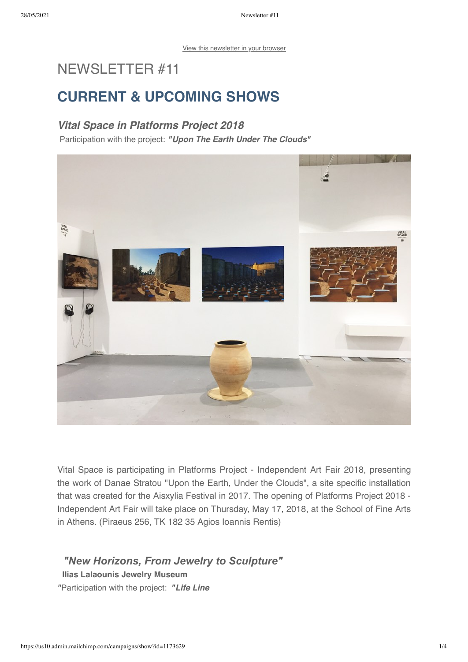# NEWSLETTER #11

# CURRENT & UPCOMING SHOWS

## Vital Space in Platforms Project 2018

Participation with the project: "Upon The Earth Under The Clouds"



Vital Space is participating in Platforms Project - Independent Art Fair 2018, presenting the work of Danae Stratou "Upon the Earth, Under the Clouds", a site specific installation that was created for the Aisxylia Festival in 2017. The opening of Platforms Project 2018 - Independent Art Fair will take place on Thursday, May 17, 2018, at the School of Fine Arts in Athens. (Piraeus 256, TK 182 35 Agios Ioannis Rentis)

## *"New Horizons, From Jewelry to Sculpture"*

#### Ilias Lalaounis Jewelry Museum

"Participation with the project: "Life Line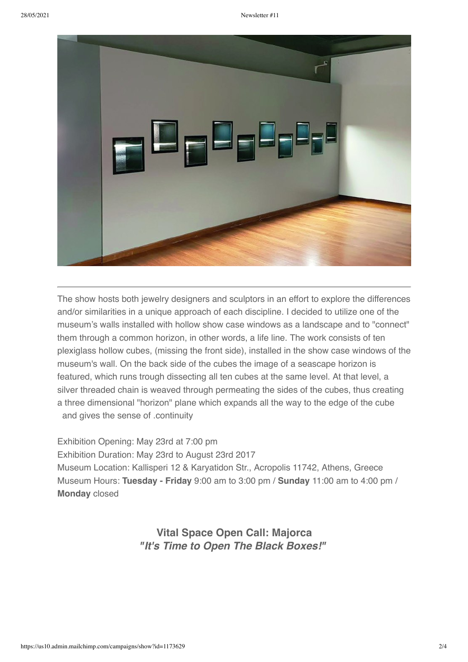

The show hosts both jewelry designers and sculptors in an effort to explore the differences and/or similarities in a unique approach of each discipline. I decided to utilize one of the museum's walls installed with hollow show case windows as a landscape and to "connect" them through a common horizon, in other words, a life line. The work consists of ten plexiglass hollow cubes, (missing the front side), installed in the show case windows of the museum's wall. On the back side of the cubes the image of a seascape horizon is featured, which runs trough dissecting all ten cubes at the same level. At that level, a silver threaded chain is weaved through permeating the sides of the cubes, thus creating a three dimensional "horizon" plane which expands all the way to the edge of the cube and gives the sense of .continuity

Exhibition Opening: May 23rd at 7:00 pm Exhibition Duration: May 23rd to August 23rd 2017 Museum Location: Kallisperi 12 & Karyatidon Str., Acropolis 11742, Athens, Greece Museum Hours: Tuesday - Friday 9:00 am to 3:00 pm / Sunday 11:00 am to 4:00 pm / Monday closed

> Vital Space Open Call: Majorca "It's Time to Open The Black Boxes!"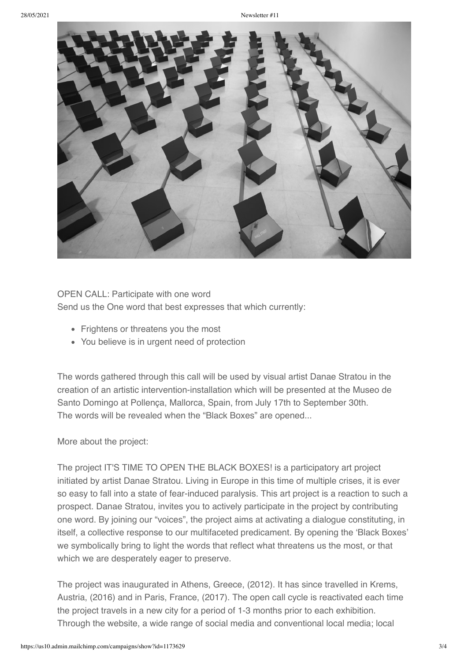

### OPEN CALL: Participate with one word

Send us the One word that best expresses that which currently:

- Frightens or threatens you the most
- You believe is in urgent need of protection

The words gathered through this call will be used by visual artist Danae Stratou in the creation of an artistic intervention-installation which will be presented at the Museo de Santo Domingo at Pollença, Mallorca, Spain, from July 17th to September 30th. The words will be revealed when the "Black Boxes" are opened...

More about the project:

The project IT'S TIME TO OPEN THE BLACK BOXES! is a participatory art project initiated by artist Danae Stratou. Living in Europe in this time of multiple crises, it is ever so easy to fall into a state of fear-induced paralysis. This art project is a reaction to such a prospect. Danae Stratou, invites you to actively participate in the project by contributing one word. By joining our "voices", the project aims at activating a dialogue constituting, in itself, a collective response to our multifaceted predicament. By opening the 'Black Boxes' we symbolically bring to light the words that reflect what threatens us the most, or that which we are desperately eager to preserve.

The project was inaugurated in Athens, Greece, (2012). It has since travelled in Krems, Austria, (2016) and in Paris, France, (2017). The open call cycle is reactivated each time the project travels in a new city for a period of 1-3 months prior to each exhibition. Through the website, a wide range of social media and conventional local media; local